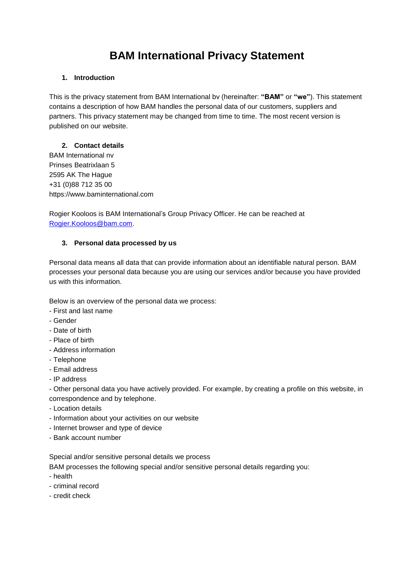# **BAM International Privacy Statement**

#### **1. Introduction**

This is the privacy statement from BAM International bv (hereinafter: **"BAM"** or **"we"**). This statement contains a description of how BAM handles the personal data of our customers, suppliers and partners. This privacy statement may be changed from time to time. The most recent version is published on our website.

#### **2. Contact details**

BAM International nv Prinses Beatrixlaan 5 2595 AK The Hague +31 (0)88 712 35 00 https://www.baminternational.com

Rogier Kooloos is BAM International's Group Privacy Officer. He can be reached at [Rogier.Kooloos@bam.com.](mailto:privacy@bam.com)

#### **3. Personal data processed by us**

Personal data means all data that can provide information about an identifiable natural person. BAM processes your personal data because you are using our services and/or because you have provided us with this information.

Below is an overview of the personal data we process:

- First and last name
- Gender
- Date of birth
- Place of birth
- Address information
- Telephone
- Email address
- IP address

- Other personal data you have actively provided. For example, by creating a profile on this website, in correspondence and by telephone.

- Location details
- Information about your activities on our website
- Internet browser and type of device
- Bank account number

Special and/or sensitive personal details we process

BAM processes the following special and/or sensitive personal details regarding you:

- health
- criminal record
- credit check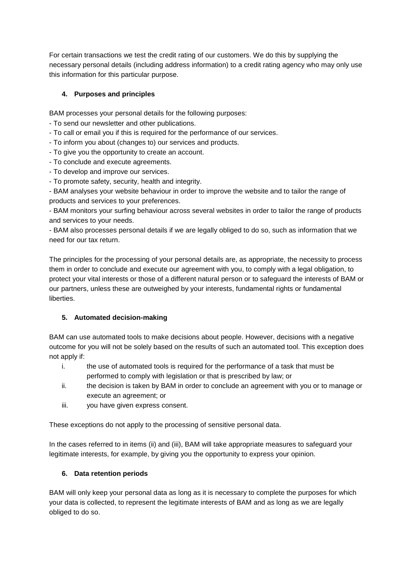For certain transactions we test the credit rating of our customers. We do this by supplying the necessary personal details (including address information) to a credit rating agency who may only use this information for this particular purpose.

# **4. Purposes and principles**

BAM processes your personal details for the following purposes:

- To send our newsletter and other publications.
- To call or email you if this is required for the performance of our services.
- To inform you about (changes to) our services and products.
- To give you the opportunity to create an account.
- To conclude and execute agreements.
- To develop and improve our services.
- To promote safety, security, health and integrity.

- BAM analyses your website behaviour in order to improve the website and to tailor the range of products and services to your preferences.

- BAM monitors your surfing behaviour across several websites in order to tailor the range of products and services to your needs.

- BAM also processes personal details if we are legally obliged to do so, such as information that we need for our tax return.

The principles for the processing of your personal details are, as appropriate, the necessity to process them in order to conclude and execute our agreement with you, to comply with a legal obligation, to protect your vital interests or those of a different natural person or to safeguard the interests of BAM or our partners, unless these are outweighed by your interests, fundamental rights or fundamental liberties.

## **5. Automated decision-making**

BAM can use automated tools to make decisions about people. However, decisions with a negative outcome for you will not be solely based on the results of such an automated tool. This exception does not apply if:

- i. the use of automated tools is required for the performance of a task that must be performed to comply with legislation or that is prescribed by law; or
- ii. the decision is taken by BAM in order to conclude an agreement with you or to manage or execute an agreement; or
- iii. you have given express consent.

These exceptions do not apply to the processing of sensitive personal data.

In the cases referred to in items (ii) and (iii), BAM will take appropriate measures to safeguard your legitimate interests, for example, by giving you the opportunity to express your opinion.

## **6. Data retention periods**

BAM will only keep your personal data as long as it is necessary to complete the purposes for which your data is collected, to represent the legitimate interests of BAM and as long as we are legally obliged to do so.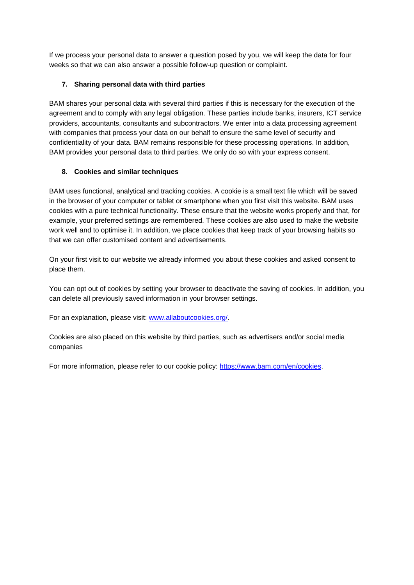If we process your personal data to answer a question posed by you, we will keep the data for four weeks so that we can also answer a possible follow-up question or complaint.

## **7. Sharing personal data with third parties**

BAM shares your personal data with several third parties if this is necessary for the execution of the agreement and to comply with any legal obligation. These parties include banks, insurers, ICT service providers, accountants, consultants and subcontractors. We enter into a data processing agreement with companies that process your data on our behalf to ensure the same level of security and confidentiality of your data. BAM remains responsible for these processing operations. In addition, BAM provides your personal data to third parties. We only do so with your express consent.

## **8. Cookies and similar techniques**

BAM uses functional, analytical and tracking cookies. A cookie is a small text file which will be saved in the browser of your computer or tablet or smartphone when you first visit this website. BAM uses cookies with a pure technical functionality. These ensure that the website works properly and that, for example, your preferred settings are remembered. These cookies are also used to make the website work well and to optimise it. In addition, we place cookies that keep track of your browsing habits so that we can offer customised content and advertisements.

On your first visit to our website we already informed you about these cookies and asked consent to place them.

You can opt out of cookies by setting your browser to deactivate the saving of cookies. In addition, you can delete all previously saved information in your browser settings.

For an explanation, please visit: [www.allaboutcookies.org/.](http://www.allaboutcookies.org/)

Cookies are also placed on this website by third parties, such as advertisers and/or social media companies

For more information, please refer to our cookie policy: [https://www.bam.com/en/cookies.](https://www.bam.com/en/cookies)